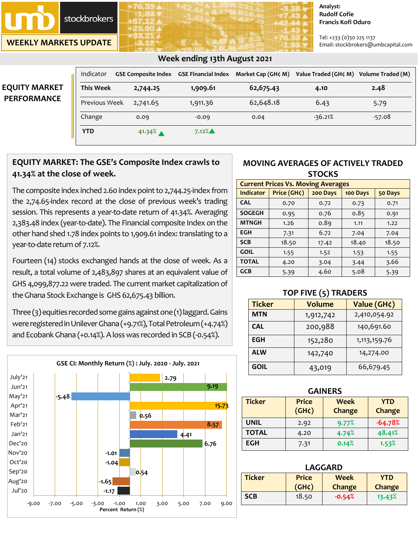**stockbrokers** 

**WEEKLY MARKETS UPDATE**

#### **Analyst: Rudolf Cofie Francis Kofi Oduro**

Tel: +233 (0)30 225 1137 Email: stockbrokers@umbcapital.com

|                      |                  |                    | $\sigma$ ) $\sigma$ $\sigma$ $\sigma$     |                    |                      |                   |
|----------------------|------------------|--------------------|-------------------------------------------|--------------------|----------------------|-------------------|
|                      | Indicator        |                    | GSE Composite Index   GSE Financial Index | Market Cap (GH¢ M) | Value Traded (GH¢ M) | Volume Traded (M) |
| <b>EQUITY MARKET</b> | <b>This Week</b> | 2,744.25           | 1,909.61                                  | 62,675.43          | 4.10                 | 2.48              |
| <b>PERFORMANCE</b>   | Previous Week    | 2,741.65           | 1,911.36                                  | 62,648.18          | 6.43                 | 5.79              |
|                      | Change           | 0.09               | $-0.09$                                   | 0.04               | $-36.21%$            | $-57.08$          |
|                      | <b>YTD</b>       | 41.34% $\triangle$ | $7.12\%$                                  |                    |                      |                   |

# **Week ending 13th August 2021**

# **EQUITY MARKET: The GSE's Composite Index crawls to 41.34% at the close of week.**

The composite index inched 2.60 index point to 2,744.25-index from the 2,74.65-index record at the close of previous week's trading session. This represents a year-to-date return of 41.34%. Averaging 2,383.48 index (year-to-date). The Financial composite Index on the other hand shed 1.78 index points to 1,909.61 index: translating to a year-to-date return of 7.12%.

Fourteen (14) stocks exchanged hands at the close of week. As a result, a total volume of 2,483,897 shares at an equivalent value of GHS 4,099,877.22 were traded. The current market capitalization of the Ghana Stock Exchange is GHS 62,675.43 billion.

Three  $(3)$  equities recorded some gains against one  $(1)$  laggard. Gains were registered in Unilever Ghana (+9.71%), Total Petroleum (+4.74%) and Ecobank Ghana (+0.14%). A loss was recorded in SCB (-0.54%).



# **MOVING AVERAGES OF ACTIVELY TRADED STOCKS**

| <b>Current Prices Vs. Moving Averages</b> |             |          |          |         |  |
|-------------------------------------------|-------------|----------|----------|---------|--|
| <b>Indicator</b>                          | Price (GH¢) | 200 Days | 100 Days | 50 Days |  |
| <b>CAL</b>                                | 0.70        | 0.72     | 0.73     | 0.71    |  |
| <b>SOGEGH</b>                             | 0.95        | 0.76     | 0.85     | 0.91    |  |
| <b>MTNGH</b>                              | 1.26        | 0.89     | 1.11     | 1.22    |  |
| <b>EGH</b>                                | 7.31        | 6.72     | 7.04     | 7.04    |  |
| <b>SCB</b>                                | 18.50       | 17.42    | 18.40    | 18.50   |  |
| <b>GOIL</b>                               | 1.55        | 1.52     | 1.53     | 1.55    |  |
| <b>TOTAL</b>                              | 4.20        | 3.04     | 3.44     | 3.66    |  |
| <b>GCB</b>                                | 5.39        | 4.60     | 5.08     | 5.39    |  |

### **TOP FIVE (5) TRADERS**

| <b>Ticker</b> | <b>Volume</b> | Value (GH¢)     |  |
|---------------|---------------|-----------------|--|
| <b>MTN</b>    | 1,912,742     | 2,410,054.92    |  |
| <b>CAL</b>    | 200,988       | 140,691.60      |  |
| <b>EGH</b>    | 152,280       | 1, 113, 159. 76 |  |
| <b>ALW</b>    | 142,740       | 14,274.00       |  |
| GOIL          | 43,019        | 66,679.45       |  |

| <b>GAINERS</b> |                                    |                       |                      |  |  |  |
|----------------|------------------------------------|-----------------------|----------------------|--|--|--|
| <b>Ticker</b>  | <b>Price</b><br>(GH <sub>c</sub> ) | <b>Week</b><br>Change | <b>YTD</b><br>Change |  |  |  |
|                |                                    |                       |                      |  |  |  |
| <b>UNIL</b>    | 2.92                               | 9.77%                 | $-64.78%$            |  |  |  |
| <b>TOTAL</b>   | 4.20                               | 4.74%                 | 48.41%               |  |  |  |
| <b>EGH</b>     | 7.31                               | 0.14%                 | 1.53%                |  |  |  |

| LAGGARD                                                    |       |          |        |  |
|------------------------------------------------------------|-------|----------|--------|--|
| <b>Ticker</b><br><b>Price</b><br><b>Week</b><br><b>YTD</b> |       |          |        |  |
| $(GH\zeta)$<br><b>Change</b><br><b>Change</b>              |       |          |        |  |
| <b>SCB</b>                                                 | 18.50 | $-0.54%$ | 13.43% |  |